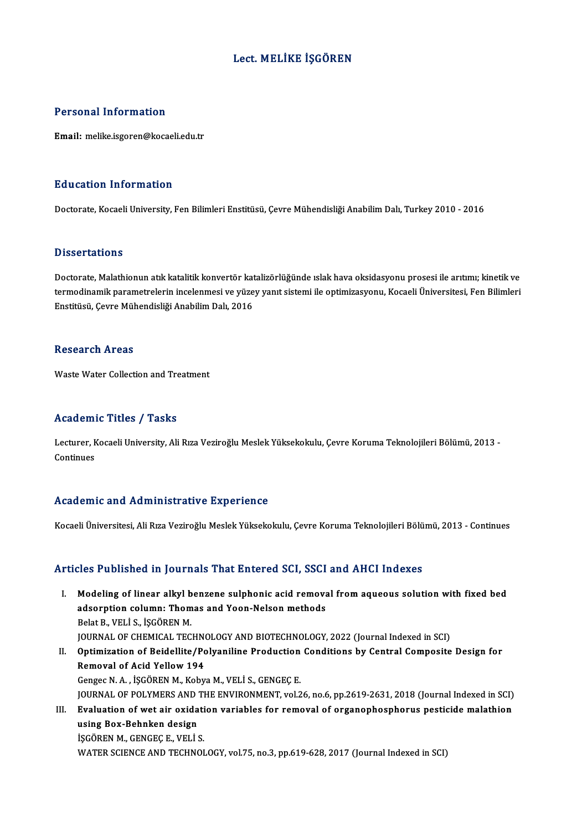## Lect.MELİKE İŞGÖREN

### Personal Information

Email: melike.isgoren@kocaeli.edu.tr

### Education Information

Doctorate, Kocaeli University, Fen Bilimleri Enstitüsü, Çevre Mühendisliği Anabilim Dalı, Turkey 2010 - 2016

### **Dissertations**

Doctorate, Malathionun atık katalitik konvertör katalizörlüğünde ıslak hava oksidasyonu prosesi ile arıtımı; kinetik ve Basser tatrons<br>Doctorate, Malathionun atık katalitik konvertör katalizörlüğünde ıslak hava oksidasyonu prosesi ile arıtımı; kinetik ve<br>termodinamik parametrelerin incelenmesi ve yüzey yanıt sistemi ile optimizasyonu, Kocae Doctorate, Malathionun atık katalitik konvertör kat<br>termodinamik parametrelerin incelenmesi ve yüze<br>Enstitüsü, Çevre Mühendisliği Anabilim Dalı, 2016 Enstitüsü, Çevre Mühendisliği Anabilim Dalı, 2016<br>Research Areas

Waste Water Collection and Treatment

### Academic Titles / Tasks

**Academic Titles / Tasks**<br>Lecturer, Kocaeli University, Ali Rıza Veziroğlu Meslek Yüksekokulu, Çevre Koruma Teknolojileri Bölümü, 2013 -<br>Continues Lecturer, K<br>Continues

# Academic and Administrative Experience

Kocaeli Üniversitesi, Ali Rıza Veziroğlu Meslek Yüksekokulu, Çevre Koruma Teknolojileri Bölümü, 2013 - Continues

### Articles Published in Journals That Entered SCI, SSCI and AHCI Indexes

- rticles Published in Journals That Entered SCI, SSCI and AHCI Indexes<br>I. Modeling of linear alkyl benzene sulphonic acid removal from aqueous solution with fixed bed<br>adsorption solumn: Thomas and Yoan Nakan mathods adsorption columns and Yoon-Nelson<br>Modeling of linear alkyl benzene sulphonic acid remove<br>adsorption column: Thomas and Yoon-Nelson methods<br>Relat P. VELLS, iscopen M. Modeling of linear alkyl b<br>adsorption column: Thom<br>Belat B., VELİ S., İŞGÖREN M.<br>IOUPNAL OF CHEMICAL TEC adsorption column: Thomas and Yoon-Nelson methods<br>Belat B., VELİ S., İŞGÖREN M.<br>JOURNAL OF CHEMICAL TECHNOLOGY AND BIOTECHNOLOGY, 2022 (Journal Indexed in SCI) Belat B., VELİ S., İŞGÖREN M.<br>I . Optimization of Beidellite/Polyaniline Production Conditions by Central Composite Design for<br>Bernausl of Asid Yollow 194 **JOURNAL OF CHEMICAL TECHN<br>Optimization of Beidellite/Po<br>Removal of Acid Yellow 194<br>Congee N.A. ISCOPEN M. Kohu**
- Removal of Acid Yellow 194<br>Gengec N.A., İŞGÖREN M., Kobya M., VELİ S., GENGEÇ E. JOURNAL OF POLYMERS AND THE ENVIRONMENT, vol.26, no.6, pp.2619-2631, 2018 (Journal Indexed in SCI) Gengec N. A. , İŞGÖREN M., Kobya M., VELİ S., GENGEÇ E.<br>JOURNAL OF POLYMERS AND THE ENVIRONMENT, vol.26, no.6, pp.2619-2631, 2018 (Journal Indexed in SCI)<br>III. Evaluation of wet air oxidation variables for removal of organ **JOURNAL OF POLYMERS AND<br>Evaluation of wet air oxida<br>using Box-Behnken design<br>iscOPEN M. CENCEC E. VELLI** Evaluation of wet air oxidati<br>using Box-Behnken design<br>İŞGÖREN M., GENGEÇ E., VELİ S.<br>WATER SCIENCE AND TECHNOL using Box-Behnken design<br>İŞGÖREN M., GENGEÇ E., VELİ S.<br>WATER SCIENCE AND TECHNOLOGY, vol.75, no.3, pp.619-628, 2017 (Journal Indexed in SCI)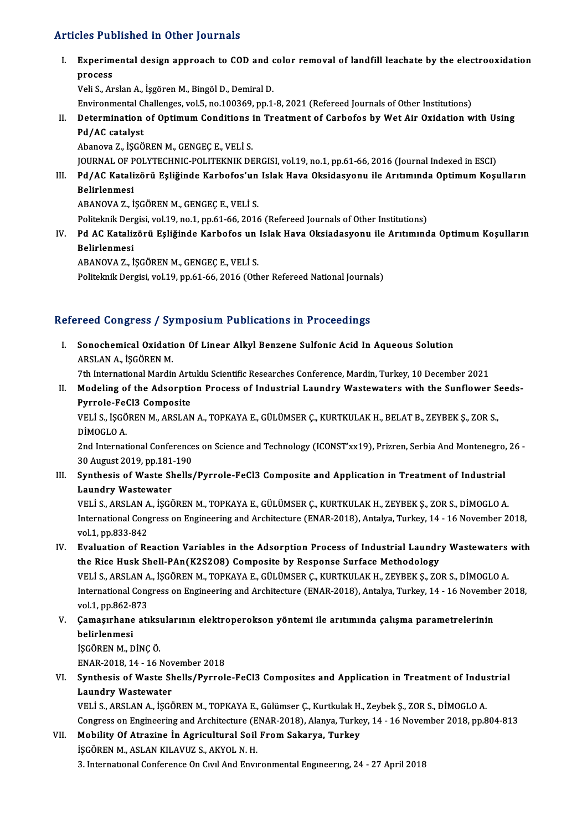## Articles Published in Other Journals

I. Experimental design approach to COD and color removal of landfil leachate by the electrooxidation Experim<br>Experim<br>Veli S. Ar Experimental design approach to COD and of<br>process<br>Veli S., Arslan A., İşgören M., Bingöl D., Demiral D.<br>Environmental Challenges, vel 5, no 190369, np 1. process<br>Veli S., Arslan A., İşgören M., Bingöl D., Demiral D.<br>Environmental Challenges, vol.5, no.100369, pp.1-8, 2021 (Refereed Journals of Other Institutions) Veli S., Arslan A., İşgören M., Bingöl D., Demiral D.<br>Environmental Challenges, vol.5, no.100369, pp.1-8, 2021 (Refereed Journals of Other Institutions)<br>II. Determination of Optimum Conditions in Treatment of Carbofos by W Environmental C<br>Determination<br>Pd/AC catalyst<br>Abanova 7, iscõ Determination of Optimum Conditions<br>Pd/AC catalyst<br>Abanova Z., İŞGÖREN M., GENGEÇ E., VELİ S.<br>JOUPNAL OF POLYTECHNIC POLITEKNIK DE Pd/AC catalyst<br>Abanova Z., İŞGÖREN M., GENGEÇ E., VELİ S.<br>JOURNAL OF POLYTECHNIC-POLITEKNIK DERGISI, vol.19, no.1, pp.61-66, 2016 (Journal Indexed in ESCI)<br>Pd./AC Katalizönü, Esliğinde Karbefee'un Jalek Have Oksidesyenu, i Abanova Z., İŞGÖREN M., GENGEÇ E., VELİ S.<br>JOURNAL OF POLYTECHNIC-POLITEKNIK DERGISI, vol.19, no.1, pp.61-66, 2016 (Journal Indexed in ESCI)<br>III. Pd/AC Katalizörü Eşliğinde Karbofos'un Islak Hava Oksidasyonu ile Arıtım JOURNAL OF P<br>Pd/AC Katali<br>Belirlenmesi<br>ARANOVA 7-i Pd/AC Katalizörü Eşliğinde Karbofos'un<br>Belirlenmesi<br>ABANOVA Z., İŞGÖREN M., GENGEÇ E., VELİ S.<br>Pelitelmik Dergisi vel 19 no 1 nn 61 66 2016 Belirlenmesi<br>ABANOVA Z., İŞGÖREN M., GENGEÇ E., VELİ S.<br>Politeknik Dergisi, vol.19, no.1, pp.61-66, 2016 (Refereed Journals of Other Institutions) ABANOVA Z., İŞGÖREN M., GENGEÇ E., VELİ S.<br>Politeknik Dergisi, vol.19, no.1, pp.61-66, 2016 (Refereed Journals of Other Institutions)<br>IV. Pd AC Katalizörü Eşliğinde Karbofos un Islak Hava Oksiadasyonu ile Arıtımında Op Politeknik Der:<br>**Pd AC Kataliz<br>Belirlenmesi**<br>ARANOVA 7. İ Pd AC Katalizörü Eşliğinde Karbofos un<br>Belirlenmesi<br>ABANOVA Z., İŞGÖREN M., GENGEÇ E., VELİ S.<br>Belitelmik Devzisi vel 19 np 61-66-2016 (Oth Belirlenmesi<br>ABANOVA Z., İŞGÖREN M., GENGEÇ E., VELİ S.<br>Politeknik Dergisi, vol.19, pp.61-66, 2016 (Other Refereed National Journals)

# Refereed Congress / Symposium Publications in Proceedings

efereed Congress / Symposium Publications in Proceedings<br>I. Sonochemical Oxidation Of Linear Alkyl Benzene Sulfonic Acid In Aqueous Solution<br>APSLAN A ISCOPEN M ARSLAN<br>**ARSLANA.**, İŞGÖREN<br>The International Mardin Sonochemical Oxidation Of Linear Alkyl Benzene Sulfonic Acid In Aqueous Solution<br>ARSLAN A., İŞGÖREN M.<br>7th International Mardin Artuklu Scientific Researches Conference, Mardin, Turkey, 10 December 2021<br>Modeling of the Ads

ARSLAN A., İŞGÖREN M.<br>7th International Mardin Artuklu Scientific Researches Conference, Mardin, Turkey, 10 December 2021<br>II. Modeling of the Adsorption Process of Industrial Laundry Wastewaters with the Sunflower Seed Tth International Mardin Art<br>Modeling of the Adsorptic<br>Pyrrole-FeCl3 Composite<br>VELLS RECOPEN M APSLAN Modeling of the Adsorption Process of Industrial Laundry Wastewaters with the Sunflower S<br>Pyrrole-FeCl3 Composite<br>VELİ S., İŞGÖREN M., ARSLAN A., TOPKAYA E., GÜLÜMSER Ç., KURTKULAK H., BELAT B., ZEYBEK Ş., ZOR S.,<br>PİMOCLO

Pyrrole-FeCl3 Composite<br>VELİ S., İŞGÖREN M., ARSLAN A., TOPKAYA E., GÜLÜMSER Ç., KURTKULAK H., BELAT B., ZEYBEK Ş., ZOR S.,<br>DİMOGLO A. VELİ S., İŞGÖREN M., ARSLAN A., TOPKAYA E., GÜLÜMSER Ç., KURTKULAK H., BELAT B., ZEYBEK Ş., ZOR S.,<br>DİMOGLO A.<br>2nd International Conferences on Science and Technology (ICONST'xx19), Prizren, Serbia And Montenegro, 26 -<br>20

DİMOGLO A.<br>2nd International Conference<br>30 August 2019, pp.181-190<br>Synthesia of Wasta Shalls 2nd International Conferences on Science and Technology (ICONST'xx19), Prizren, Serbia And Montenegro,<br>30 August 2019, pp.181-190<br>III. Synthesis of Waste Shells/Pyrrole-FeCl3 Composite and Application in Treatment of Indus

30 August 2019, pp.181<br>Synthesis of Waste Sh<br>Laundry Wastewater<br>VELLS ABSLANA, ISCC Synthesis of Waste Shells/Pyrrole-FeCl3 Composite and Application in Treatment of Industrial<br>Laundry Wastewater<br>VELİ S., ARSLAN A., İŞGÖREN M., TOPKAYA E., GÜLÜMSER Ç., KURTKULAK H., ZEYBEK Ş., ZOR S., DİMOGLO A.<br>Internati

Laundry Wastewater<br>VELİ S., ARSLAN A., İŞGÖREN M., TOPKAYA E., GÜLÜMSER Ç., KURTKULAK H., ZEYBEK Ş., ZOR S., DİMOGLO A.<br>International Congress on Engineering and Architecture (ENAR-2018), Antalya, Turkey, 14 - 16 November **VELI S., ARSLAN A<br>International Cong<br>vol.1, pp.833-842<br>Evoluation of Ba** International Congress on Engineering and Architecture (ENAR-2018), Antalya, Turkey, 14 - 16 November 2018,<br>vol.1, pp.833-842<br>IV. Evaluation of Reaction Variables in the Adsorption Process of Industrial Laundry Wastewaters

- vol.1, pp.833-842<br>IV. Evaluation of Reaction Variables in the Adsorption Process of Industrial Laundry Wastewaters with<br>the Rice Husk Shell-PAn(K2S2O8) Composite by Response Surface Methodology Evaluation of Reaction Variables in the Adsorption Process of Industrial Laundry Wastewaters<br>the Rice Husk Shell-PAn(K2S2O8) Composite by Response Surface Methodology<br>VELİ S., ARSLAN A., İŞGÖREN M., TOPKAYA E., GÜLÜMSER Ç. the Rice Husk Shell-PAn(K2S2O8) Composite by Response Surface Methodology<br>VELİ S., ARSLAN A., İŞGÖREN M., TOPKAYA E., GÜLÜMSER Ç., KURTKULAK H., ZEYBEK Ş., ZOR S., DİMOGLO A.<br>International Congress on Engineering and Archi VELI S., ARSLAN<br>International Cong<br>vol.1, pp.862-873<br>Comasurbane at: International Congress on Engineering and Architecture (ENAR-2018), Antalya, Turkey, 14 - 16 November 2018, vol.1, pp.862-873<br>Camaşırhane atıksularının elektroperokson yöntemi ile arıtımında çalışma parametrelerinin<br>belirl
- vol.1, pp.862-8<br><mark>Çamaşırhane</mark><br>belirlenmesi<br>İSCÖPEN M. D Çamaşırhane atıksı<br>belirlenmesi<br>İŞGÖREN M., DİNÇ Ö.<br>ENAR 2019-14-16 I belirlenmesi<br>İŞGÖREN M., DİNÇ Ö.<br>ENAR-2018, 14 - 16 November 2018<br>Synthesis of Weste Shalls (Byrrel.
- iŞGÖREN M., DİNÇ Ö.<br>ENAR-2018, 14 16 November 2018<br>VI. Synthesis of Waste Shells/Pyrrole-FeCl3 Composites and Application in Treatment of Industrial<br>Laundry Wastewater ENAR-2018, 14 - 16 Nov<br>Synthesis of Waste Sh<br>Laundry Wastewater<br>VELLS ARSLANA ASS

VELİ S., ARSLAN A., İŞGÖREN M., TOPKAYA E., Gülümser Ç., Kurtkulak H., Zeybek Ş., ZOR S., DİMOGLO A. Laundry Wastewater<br>VELİ S., ARSLAN A., İŞGÖREN M., TOPKAYA E., Gülümser Ç., Kurtkulak H., Zeybek Ş., ZOR S., DİMOGLO A.<br>Congress on Engineering and Architecture (ENAR-2018), Alanya, Turkey, 14 - 16 November 2018, pp.804-81 VELİ S., ARSLAN A., İŞGÖREN M., TOPKAYA E., Gülümser Ç., Kurtkulak H.<br>Congress on Engineering and Architecture (ENAR-2018), Alanya, Turke<br>VII. Mobility Of Atrazine İn Agricultural Soil From Sakarya, Turkey<br>ISCÖREN M. ASLAN

Congress on Engineering and Architecture (E<br>Mobility Of Atrazine In Agricultural Soil<br>ISGÖREN M., ASLAN KILAVUZ S., AKYOL N. H.<br><sup>2</sup> International Conference On Curl And Envir 3. Mobility Of Atrazine İn Agricultural Soil From Sakarya, Turkey<br>193. International Conference On Civil And Environmental Engineering, 24 - 27 April 2018<br>3. International Conference On Civil And Environmental Engineering,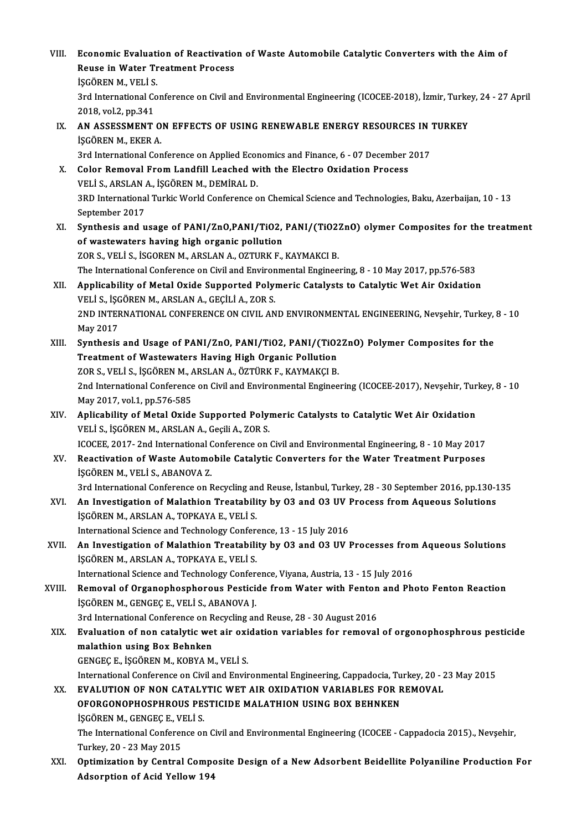VIII. Economic Evaluation of Reactivation of Waste Automobile Catalytic Converters with the Aim of<br>Revee in Water Treatment Presses Economic Evaluation of Reactivatio<br>Reuse in Water Treatment Process<br>iscôpen M. VELLS Economic Evaluati<br>Reuse in Water Tr<br>İŞGÖREN M., VELİ S.<br><sup>2nd International Co</sub></sup> Reuse in Water Treatment Process<br>İŞGÖREN M., VELİ S.<br>3rd International Conference on Civil and Environmental Engineering (ICOCEE-2018), İzmir, Turkey, 24 - 27 April **İŞGÖREN M., VELİ S.<br>3rd International Co.<br>2018, vol.2, pp.341<br>AN ASSESSMENT** 3rd International Conference on Civil and Environmental Engineering (ICOCEE-2018), İzmir, Turke<br>2018, vol.2, pp.341<br>IX. AN ASSESSMENT ON EFFECTS OF USING RENEWABLE ENERGY RESOURCES IN TURKEY<br>ISCOPEN M. EKER A 2018, vol.2, pp.341<br>
AN ASSESSMENT ON EFFECTS OF USING RENEWABLE ENERGY RESOURCES IN<br>
ISGÖREN M., EKER A.<br>
3rd International Conference on Applied Economics and Finance, 6 - 07 December 2017 IX. AN ASSESSMENT ON EFFECTS OF USING RENEWABLE ENERGY RESOURCES IN TURKEY SCOREN M., EKER A.<br>3rd International Conference on Applied Economics and Finance, 6 - 07 December .<br>X. Color Removal From Landfill Leached with the Electro Oxidation Process<br>VELLS ARSLAN A. SCOREN M. DEMIRAL D. 3rd International Conference on Applied Econ<br>Color Removal From Landfill Leached w<br>VELİ S., ARSLAN A., İŞGÖREN M., DEMİRAL D.<br>2PD International Turkis World Conference o 3RD International Turkic World Conference on Chemical Science and Technologies, Baku, Azerbaijan, 10 - 13<br>September 2017 VELİ S., ARSLAN A., İŞGÖREN M., DEMİRAL D. 3RD International Turkic World Conference on Chemical Science and Technologies, Baku, Azerbaijan, 10 - 13<br>September 2017<br>XI. Synthesis and usage of PANI/ZnO,PANI/TiO2, PANI/(TiO2ZnO) olymer Composites for the treatment<br>of of wastewaters having high organic pollution<br>ZOR S., VELI S., ISGOREN M., ARSLAN A., OZTURK F., KAYMAKCI B. Synthesis and usage of PANI/ZnO,PANI/TiO2, PANI/(TiO2)<br>of wastewaters having high organic pollution<br>ZOR S., VELİ S., İSGOREN M., ARSLAN A., OZTURK F., KAYMAKCI B.<br>The International Conference on Civil and Environmental Eng The International Conference on Civil and Environmental Engineering, 8 - 10 May 2017, pp.576-583 XOR S., VELI S., ISGOREN M., ARSLAN A., OZTURK F., KAYMAKCI B.<br>The International Conference on Civil and Environmental Engineering, 8 - 10 May 2017, pp.576-583<br>XII. Applicability of Metal Oxide Supported Polymeric Catalyst The International Conference on Civil and Environ<br>Applicability of Metal Oxide Supported Poly<br>VELİ S., İŞGÖREN M., ARSLAN A., GEÇİLİ A., ZOR S.<br>2ND INTERNATIONAL CONFERENCE ON CIVIL AN 2ND INTERNATIONAL CONFERENCE ON CIVIL AND ENVIRONMENTAL ENGINEERING, Nevşehir, Turkey, 8 - 10<br>May 2017 VELİ S., İŞGÖREN M., ARSLAN A., GEÇİLİ A., ZOR S. 2ND INTERNATIONAL CONFERENCE ON CIVIL AND ENVIRONMENTAL ENGINEERING, Nevşehir, Turkey,<br>May 2017<br>XIII. Synthesis and Usage of PANI/ZnO, PANI/TiO2, PANI/(TiO2ZnO) Polymer Composites for the<br>Treatment of Westewaters Having Hi May 2017<br>Synthesis and Usage of PANI/ZnO, PANI/TiO2, PANI/(TiO2<br>Treatment of Wastewaters Having High Organic Pollution<br>ZOR S, VELLS, ISCOPEN M, ARSLAN A, ÖZTÜRK E, KAVMAKCLR Synthesis and Usage of PANI/ZnO, PANI/TiO2, PANI/(TiO2<br>Treatment of Wastewaters Having High Organic Pollution<br>ZOR S., VELİ S., İŞGÖREN M., ARSLAN A., ÖZTÜRK F., KAYMAKÇI B.<br>2nd International Conference on Civil and Environ Treatment of Wastewaters Having High Organic Pollution<br>ZOR S., VELİ S., İŞGÖREN M., ARSLAN A., ÖZTÜRK F., KAYMAKÇI B.<br>2nd International Conference on Civil and Environmental Engineering (ICOCEE-2017), Nevşehir, Turkey, 8 -ZOR S., VELI S., IŞGÖREN M., A<br>2nd International Conference<br>May 2017, vol.1, pp.576-585<br>Anlisability of Motal Ovide 2nd International Conference on Civil and Environmental Engineering (ICOCEE-2017), Nevşehir, Tur<br>May 2017, vol.1, pp.576-585<br>XIV. Aplicability of Metal Oxide Supported Polymeric Catalysts to Catalytic Wet Air Oxidation<br>VEL May 2017, vol.1, pp.576-585<br>XIV. Aplicability of Metal Oxide Supported Polymeric Catalysts to Catalytic Wet Air Oxidation<br>VELİ S., İŞGÖREN M., ARSLAN A., Geçili A., ZOR S. ICOCEE, 2017-2nd International Conference on Civil and Environmental Engineering, 8 - 10 May 2017 VELİ S., İŞGÖREN M., ARSLAN A., Geçili A., ZOR S.<br>ICOCEE, 2017- 2nd International Conference on Civil and Environmental Engineering, 8 - 10 May 2017<br>XV. Reactivation of Waste Automobile Catalytic Converters for the Wate ICOCEE, 2017- 2nd International C<br>Reactivation of Waste Automo<br>ISGÖREN M., VELI S., ABANOVA Z.<br><sup>2nd International Conference on B</sup> Reactivation of Waste Automobile Catalytic Converters for the Water Treatment Purposes<br>İŞGÖREN M., VELİ S., ABANOVA Z.<br>3rd International Conference on Recycling and Reuse, İstanbul, Turkey, 28 - 30 September 2016, pp.130-1 iŞGÖREN M., VELİ S., ABANOVA Z.<br>3rd International Conference on Recycling and Reuse, İstanbul, Turkey, 28 - 30 September 2016, pp.130-1<br>XVI. An Investigation of Malathion Treatability by O3 and O3 UV Process from Aqueous S 3rd International Conference on Recycling an<br>An Investigation of Malathion Treatabili<br>İŞGÖREN M., ARSLAN A., TOPKAYA E., VELİ S.<br>International Science and Technology Confor An Investigation of Malathion Treatability by 03 and 03 UV I<br>I\$GÖREN M., ARSLAN A., TOPKAYA E., VELI S.<br>International Science and Technology Conference, 13 - 15 July 2016<br>An Investigation of Malathion Treatability by 03 an IŞGÖREN M., ARSLAN A., TOPKAYA E., VELI S.<br>International Science and Technology Conference, 13 - 15 July 2016<br>XVII. An Investigation of Malathion Treatability by O3 and O3 UV Processes from Aqueous Solutions<br>ISCÖREN M. ARS International Science and Technology Conferent<br>An Investigation of Malathion Treatabili<br>İŞGÖREN M., ARSLAN A., TOPKAYA E., VELİ S.<br>International Science and Technology Confere An Investigation of Malathion Treatability by 03 and 03 UV Processes from<br>ISGÖREN M., ARSLAN A., TOPKAYA E., VELI S.<br>International Science and Technology Conference, Viyana, Austria, 13 - 15 July 2016<br>Pemeual of Organonbes ISGÖREN M., ARSLAN A., TOPKAYA E., VELI S.<br>International Science and Technology Conference, Viyana, Austria, 13 - 15 July 2016<br>XVIII. Removal of Organophosphorous Pesticide from Water with Fenton and Photo Fenton React International Science and Technology Conferned Alemanda of Organophosphorous Pesticional Science<br>ISGÖREN M., GENGEÇE., VELİ S., ABANOVA J.<br>2nd International Conference on Besucling an Removal of Organophosphorous Pesticide from Water with Fenton<br>İŞGÖREN M., GENGEÇ E., VELİ S., ABANOVA J.<br>3rd International Conference on Recycling and Reuse, 28 - 30 August 2016<br>Evaluation of non catalytic wet air oxidatio işgören M., Gengeç E., Veli S., ABANOVA J.<br>3rd International Conference on Recycling and Reuse, 28 - 30 August 2016<br>XIX. Evaluation of non catalytic wet air oxidation variables for removal of orgonophosphrous pesticide 3rd International Conference on R<br>**Evaluation of non catalytic we<br>malathion using Box Behnken**<br>CENCECE iSCOPEN M. KOPYA M Evaluation of non catalytic wet air oxi<br>malathion using Box Behnken<br>GENGEÇ E., İŞGÖREN M., KOBYA M., VELİ S.<br>International Conference on Civil and Envir malathion using Box Behnken<br>GENGEÇ E., İŞGÖREN M., KOBYA M., VELİ S.<br>International Conference on Civil and Environmental Engineering, Cappadocia, Turkey, 20 - 23 May 2015<br>EVALUTION OE NON CATALYTIC WET AIR OYIDATION VARIAR GENGEÇ E., İŞGÖREN M., KOBYA M., VELİ S.<br>International Conference on Civil and Environmental Engineering, Cappadocia, Turkey, 20 - 2<br>XX. EVALUTION OF NON CATALYTIC WET AIR OXIDATION VARIABLES FOR REMOVAL<br>OFORCONOPHOSPHROUS International Conference on Civil and Environmental Engineering, Cappadocia, Tu<br>EVALUTION OF NON CATALYTIC WET AIR OXIDATION VARIABLES FOR R<br>OFORGONOPHOSPHROUS PESTICIDE MALATHION USING BOX BEHNKEN<br>ISCÖREN M. CENCEC E. VEL XX. EVALUTION OF NON CATALYTIC WET AIR OXIDATION VARIABLES FOR REMOVAL OFORGONOPHOSPHROUS PESTICIDE MALATHION USING BOX BEHNKEN ISCORENM., GENGEC E., VELI S. OFORGONOPHOSPHROUS PESTICIDE MALATHION USING BOX BEHNKEN<br>İŞGÖREN M., GENGEÇ E., VELİ S.<br>Turkay 20, 23 May 2015 IŞGÖREN M., GENGEÇ E., V.<br>The International Conferer<br>Turkey, 20 - 23 May 2015<br>Ontimination by Control The International Conference on Civil and Environmental Engineering (ICOCEE - Cappadocia 2015)., Nevşehir,<br>Turkey, 20 - 23 May 2015<br>XXI. Optimization by Central Composite Design of a New Adsorbent Beidellite Polyaniline Pr Turkey, 20 - 23 May 2015<br><mark>Optimization by Central Comp</mark>o<br>Adsorption of Acid Yellow 194